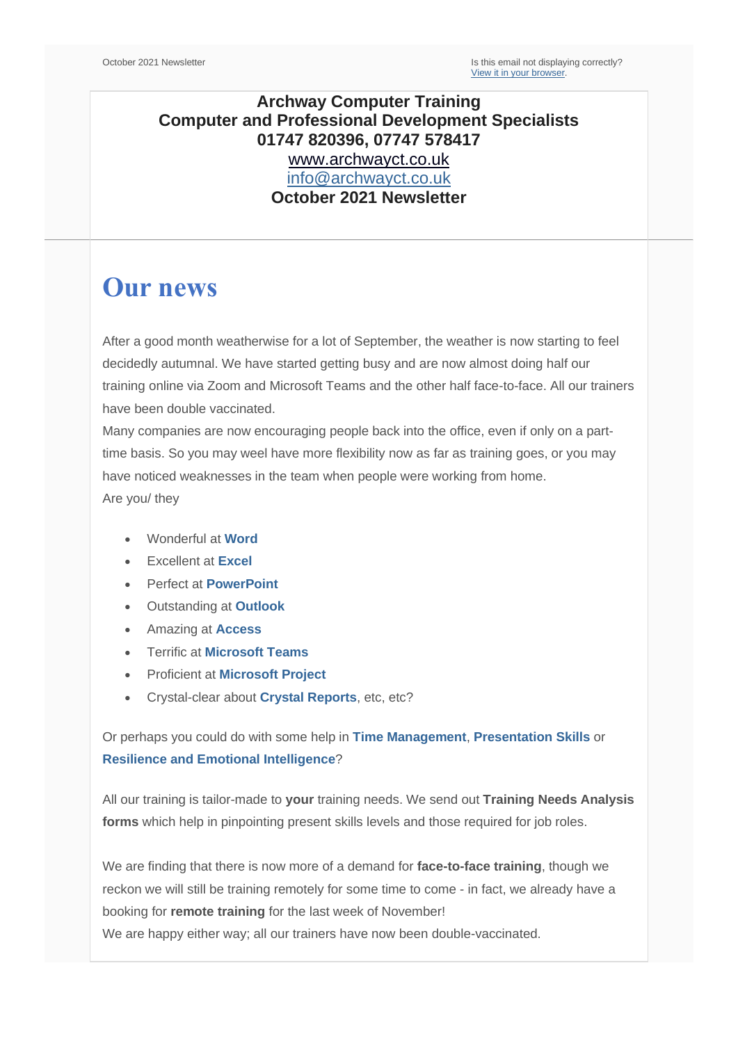### **Archway Computer Training Computer and Professional Development Specialists 01747 820396, 07747 578417** [www.archwayct.co.uk](http://www.archwayct.co.uk/) [info@archwayct.co.uk](mailto:%20info@archwayct.co.uk) **October 2021 Newsletter**

# **Our news**

After a good month weatherwise for a lot of September, the weather is now starting to feel decidedly autumnal. We have started getting busy and are now almost doing half our training online via Zoom and Microsoft Teams and the other half face-to-face. All our trainers have been double vaccinated.

Many companies are now encouraging people back into the office, even if only on a parttime basis. So you may weel have more flexibility now as far as training goes, or you may have noticed weaknesses in the team when people were working from home. Are you/ they

- Wonderful at **[Word](http://www.archwayct.co.uk/microsoft-office-training/microsoft-word-training)**
- Excellent at **[Excel](http://www.archwayct.co.uk/microsoft-office-training/microsoft-excel-training)**
- Perfect at **[PowerPoint](http://www.archwayct.co.uk/microsoft-office-training/microsoft-powerpoint-training)**
- Outstanding at **[Outlook](http://www.archwayct.co.uk/microsoft-office-training/microsoft-outlook-training)**
- Amazing at **[Access](http://www.archwayct.co.uk/microsoft-office-training/microsoft-access-training)**
- Terrific at **[Microsoft Teams](https://www.archwayct.co.uk/microsoft-office-training/microsoft-teams-training/)**
- Proficient at **[Microsoft Project](http://www.archwayct.co.uk/it-training/microsoft-project-training)**
- Crystal-clear about **[Crystal Reports](http://www.archwayct.co.uk/it-training/crystal-reports-training)**, etc, etc?

Or perhaps you could do with some help in **[Time Management](https://www.archwayct.co.uk/professional-development-training/time-management-training/)**, **[Presentation Skills](https://www.archwayct.co.uk/professional-development-training/presentation-skills-training/)** or **[Resilience and Emotional Intelligence](https://www.archwayct.co.uk/professional-development-training/resilience-and-emotional-intelligence-training/)**?

All our training is tailor-made to **your** training needs. We send out **Training Needs Analysis forms** which help in pinpointing present skills levels and those required for job roles.

We are finding that there is now more of a demand for **face-to-face training**, though we reckon we will still be training remotely for some time to come - in fact, we already have a booking for **remote training** for the last week of November!

We are happy either way; all our trainers have now been double-vaccinated.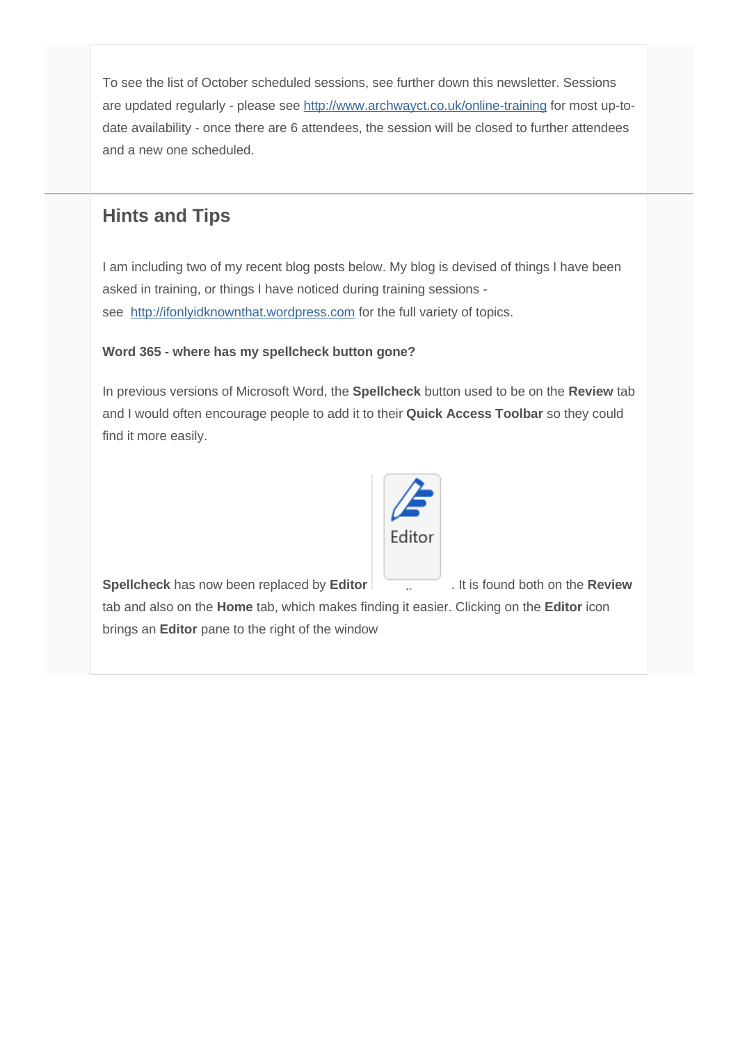To see the list of October scheduled sessions, see further down this newsletter. Sessions are updated regularly - please see<http://www.archwayct.co.uk/online-training> for most up-todate availability - once there are 6 attendees, the session will be closed to further attendees and a new one scheduled.

# **Hints and Tips**

I am including two of my recent blog posts below. My blog is devised of things I have been asked in training, or things I have noticed during training sessions see [http://ifonlyidknownthat.wordpress.com](http://ifonlyidknownthat.wordpress.com/) for the full variety of topics.

#### **Word 365 - where has my spellcheck button gone?**

In previous versions of Microsoft Word, the **Spellcheck** button used to be on the **Review** tab and I would often encourage people to add it to their **Quick Access Toolbar** so they could find it more easily.



**Spellcheck** has now been replaced by **Editor** . It is found both on the **Review**

tab and also on the **Home** tab, which makes finding it easier. Clicking on the **Editor** icon brings an **Editor** pane to the right of the window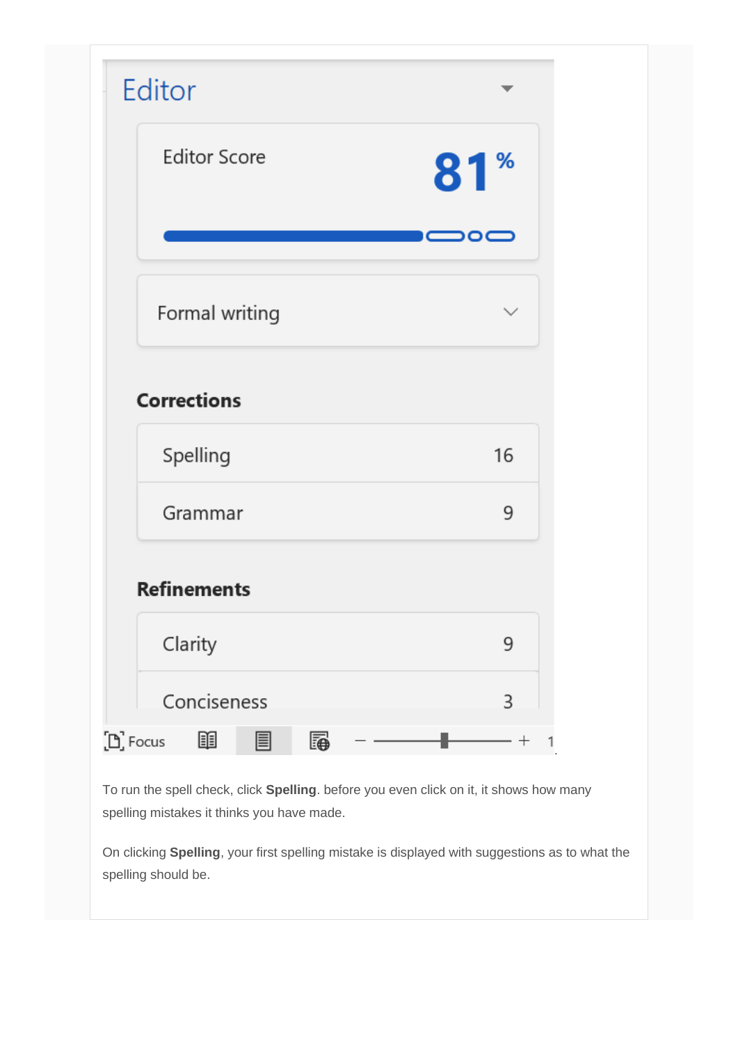| <b>Editor Score</b> | 81 <sup>%</sup>                        |
|---------------------|----------------------------------------|
|                     |                                        |
|                     | $\circ\hspace{-1.5pt}=\hspace{-1.5pt}$ |
| Formal writing      | ✓                                      |
| <b>Corrections</b>  |                                        |
|                     |                                        |
|                     |                                        |
| Spelling            | 16                                     |
| Grammar             | 9                                      |
| <b>Refinements</b>  |                                        |
| Clarity             | 9                                      |

To run the spell check, click **Spelling**. before you even click on it, it shows how many spelling mistakes it thinks you have made.

On clicking **Spelling**, your first spelling mistake is displayed with suggestions as to what the spelling should be.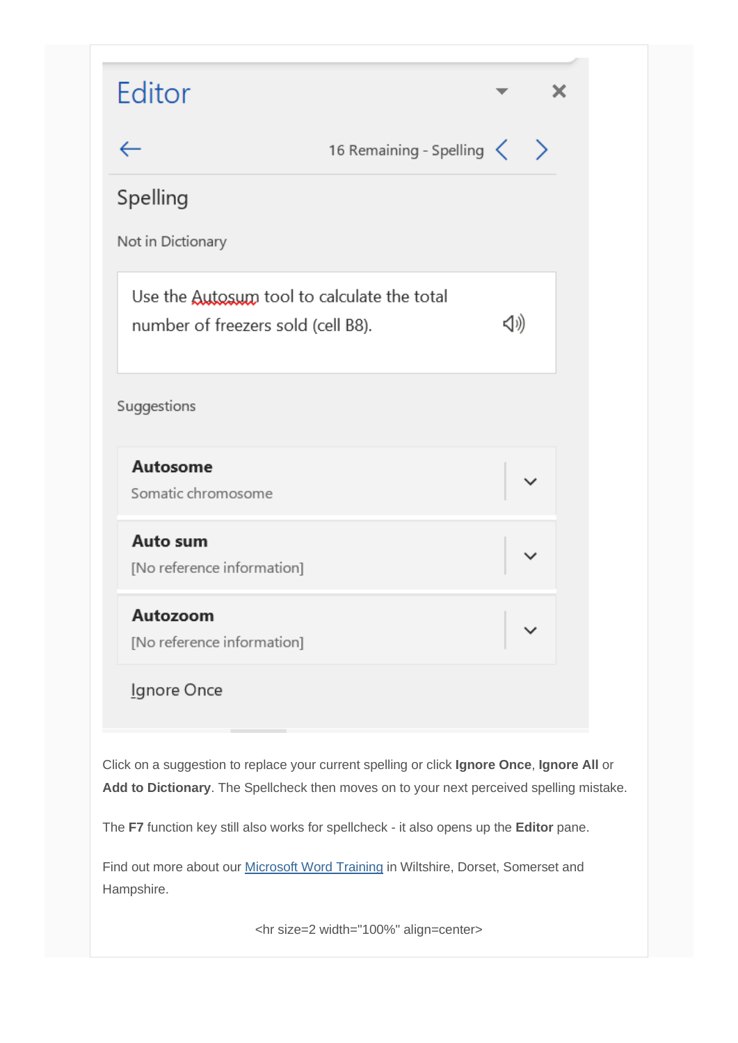

Click on a suggestion to replace your current spelling or click **Ignore Once**, **Ignore All** or **Add to Dictionary**. The Spellcheck then moves on to your next perceived spelling mistake.

The **F7** function key still also works for spellcheck - it also opens up the **Editor** pane.

Find out more about our [Microsoft Word Training](http://www.archwayct.co.uk/microsoft-office-training/microsoft-word-training) in Wiltshire, Dorset, Somerset and Hampshire.

<hr size=2 width="100%" align=center>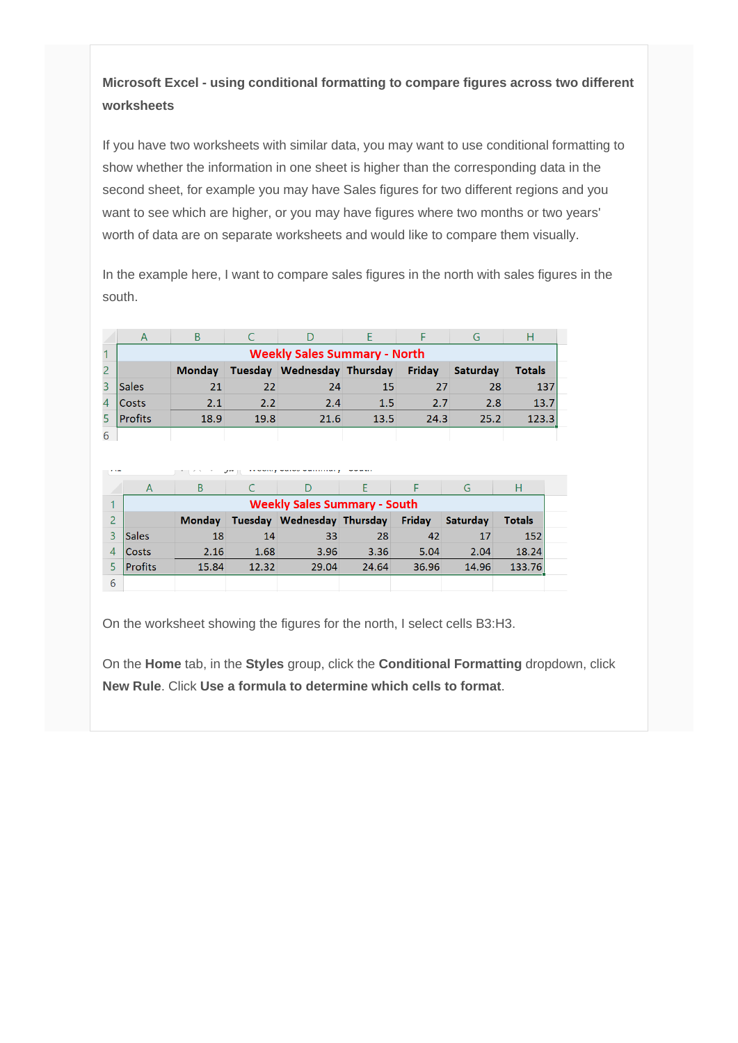### **Microsoft Excel - using conditional formatting to compare figures across two different worksheets**

If you have two worksheets with similar data, you may want to use conditional formatting to show whether the information in one sheet is higher than the corresponding data in the second sheet, for example you may have Sales figures for two different regions and you want to see which are higher, or you may have figures where two months or two years' worth of data are on separate worksheets and would like to compare them visually.

In the example here, I want to compare sales figures in the north with sales figures in the south.

|                                     | B             |         |                    |      |        | G        |               |  |
|-------------------------------------|---------------|---------|--------------------|------|--------|----------|---------------|--|
| <b>Weekly Sales Summary - North</b> |               |         |                    |      |        |          |               |  |
|                                     | <b>Monday</b> | Tuesday | Wednesday Thursday |      | Friday | Saturday | <b>Totals</b> |  |
| Sales                               | 21            | 22      | 24                 | 15   | 27     | 28       | 137           |  |
| <b>Costs</b>                        | 2.1           | 2.2     | 2.4                | 1.5  | 2.7    | 2.8      | 13.7          |  |
| Profits                             | 18.9          | 19.8    | 21.6               | 13.5 | 24.3   | 25.2     | 123.3         |  |
|                                     |               |         |                    |      |        |          |               |  |

| . | $J^{\ast\ast}$                      |               |         |                    |       |        |          |               |  |
|---|-------------------------------------|---------------|---------|--------------------|-------|--------|----------|---------------|--|
|   | A                                   | B             |         |                    |       |        | G        | Н             |  |
| 4 | <b>Weekly Sales Summary - South</b> |               |         |                    |       |        |          |               |  |
|   |                                     | <b>Monday</b> | Tuesday | Wednesday Thursday |       | Friday | Saturdav | <b>Totals</b> |  |
|   | Sales                               | 18            | 14      | 33                 | 28    | 42     | 17       | 152           |  |
|   | Costs                               | 2.16          | 1.68    | 3.96               | 3.36  | 5.04   | 2.04     | 18.24         |  |
|   | Profits                             | 15.84         | 12.32   | 29.04              | 24.64 | 36.96  | 14.96    | 133.76        |  |
| 6 |                                     |               |         |                    |       |        |          |               |  |

On the worksheet showing the figures for the north, I select cells B3:H3.

On the **Home** tab, in the **Styles** group, click the **Conditional Formatting** dropdown, click **New Rule**. Click **Use a formula to determine which cells to format**.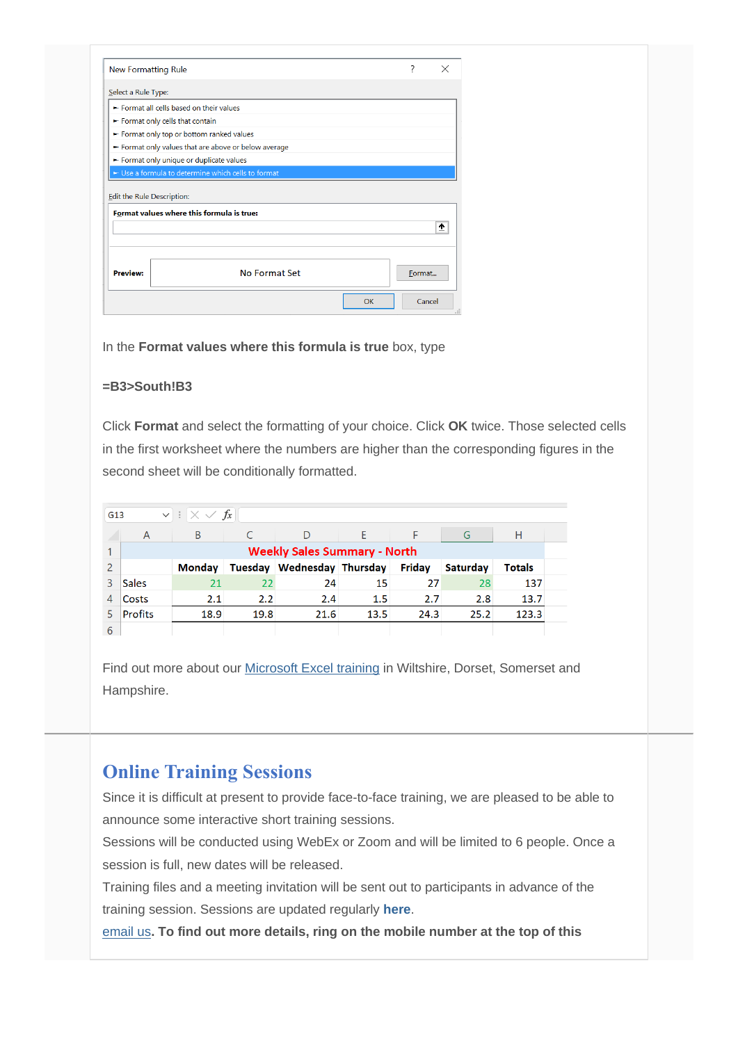| <b>New Formatting Rule</b>               |                                                    | ?      |   |
|------------------------------------------|----------------------------------------------------|--------|---|
| Select a Rule Type:                      |                                                    |        |   |
| Enternat all cells based on their values |                                                    |        |   |
| Format only cells that contain           |                                                    |        |   |
| Format only top or bottom ranked values  |                                                    |        |   |
|                                          | Format only values that are above or below average |        |   |
| Format only unique or duplicate values   |                                                    |        |   |
|                                          |                                                    |        |   |
|                                          | Use a formula to determine which cells to format   |        |   |
| Edit the Rule Description:               | Format values where this formula is true:          |        |   |
|                                          |                                                    |        | ۰ |
| <b>Preview:</b>                          | No Format Set                                      | Format |   |

In the **Format values where this formula is true** box, type

#### **=B3>South!B3**

Click **Format** and select the formatting of your choice. Click **OK** twice. Those selected cells in the first worksheet where the numbers are higher than the corresponding figures in the second sheet will be conditionally formatted.

|              | $\vert \vee \vert : \vert \times \vee f_x \vert$<br>G13 |               |      |                            |      |               |          |               |  |
|--------------|---------------------------------------------------------|---------------|------|----------------------------|------|---------------|----------|---------------|--|
|              | A                                                       | B             |      | D                          |      |               | G        | Н             |  |
|              | <b>Weekly Sales Summary - North</b>                     |               |      |                            |      |               |          |               |  |
|              |                                                         | <b>Monday</b> |      | Tuesday Wednesday Thursday |      | <b>Friday</b> | Saturdav | <b>Totals</b> |  |
| $\mathbf{R}$ | <b>Sales</b>                                            | 21            | 22   | 24                         | 15   | 27            | 28       | 137           |  |
| 4            | Costs                                                   | 2.1           | 2.2  | 2.4                        | 1.5  | 2.7           | 2.8      | 13.7          |  |
| 5            | <b>Profits</b>                                          | 18.9          | 19.8 | 21.6                       | 13.5 | 24.3          | 25.2     | 123.3         |  |
| $\sqrt{2}$   |                                                         |               |      |                            |      |               |          |               |  |

Find out more about our [Microsoft Excel training](http://www.archwayct.co.uk/microsoft-office-training/microsoft-excel-training) in Wiltshire, Dorset, Somerset and Hampshire.

## **Online Training Sessions**

Since it is difficult at present to provide face-to-face training, we are pleased to be able to announce some interactive short training sessions.

Sessions will be conducted using WebEx or Zoom and will be limited to 6 people. Once a session is full, new dates will be released.

Training files and a meeting invitation will be sent out to participants in advance of the training session. Sessions are updated regularly **[here](http://www.archwayct.co.uk/online-training)**.

[email us](mailto:janet@archwayct.co.uk?subject=Online%20training)**. To find out more details, ring on the mobile number at the top of this**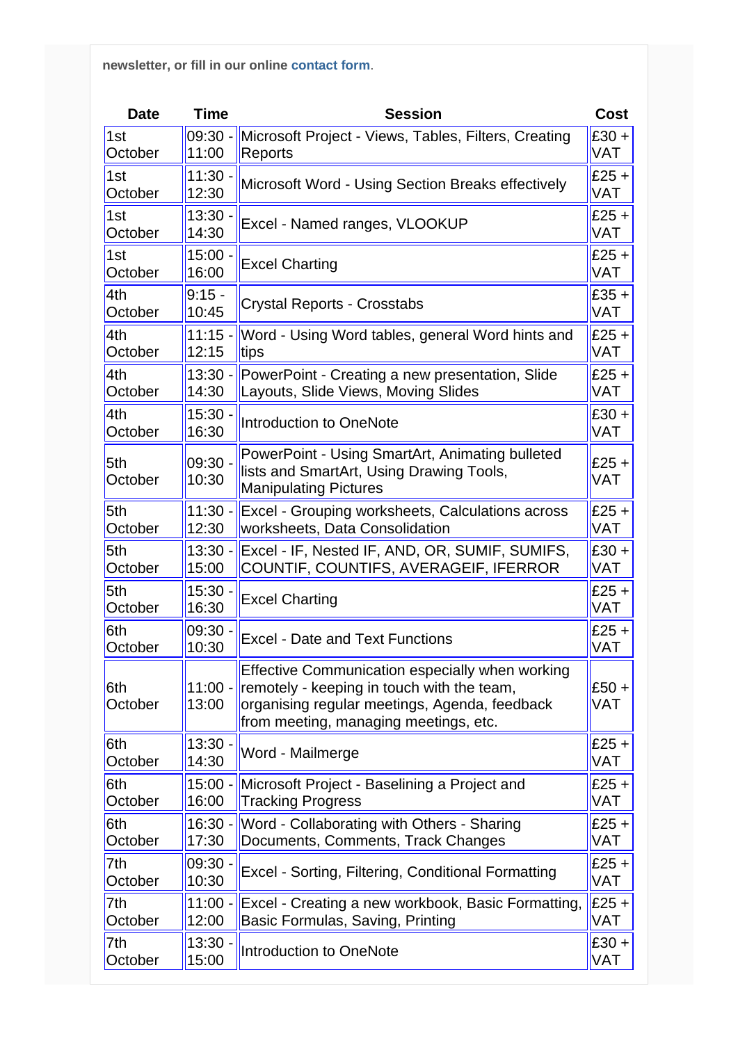**newsletter, or fill in our online [contact form](http://www.archwayct.co.uk/contact)**.

| <b>Date</b>    | <b>Time</b>        | <b>Session</b>                                                                                                                                                                          | Cost                  |
|----------------|--------------------|-----------------------------------------------------------------------------------------------------------------------------------------------------------------------------------------|-----------------------|
| 1st            | $09:30 -$          | Microsoft Project - Views, Tables, Filters, Creating                                                                                                                                    | $£30 +$               |
| October        | 11:00              | Reports                                                                                                                                                                                 | <b>VAT</b>            |
| 1st            | $11:30 -$          | Microsoft Word - Using Section Breaks effectively                                                                                                                                       | $£25 +$               |
| October        | 12:30              |                                                                                                                                                                                         | <b>VAT</b>            |
| 1st            | 13:30.             | Excel - Named ranges, VLOOKUP                                                                                                                                                           | $£25 +$               |
| October        | 14:30              |                                                                                                                                                                                         | VAT                   |
| 1st            | $15:00 -$          | <b>Excel Charting</b>                                                                                                                                                                   | $E25 +$               |
| October        | 16:00              |                                                                                                                                                                                         | <b>VAT</b>            |
| 4th            | $9:15 -$           | <b>Crystal Reports - Crosstabs</b>                                                                                                                                                      | $£35 +$               |
| October        | 10:45              |                                                                                                                                                                                         | <b>VAT</b>            |
| 4th            | $11:15 -$          | Word - Using Word tables, general Word hints and                                                                                                                                        | $£25 +$               |
| October        | 12:15              | tips                                                                                                                                                                                    | <b>VAT</b>            |
| 4th            | $13:30 -$          | PowerPoint - Creating a new presentation, Slide                                                                                                                                         | $£25 +$               |
| October        | 14:30              | Layouts, Slide Views, Moving Slides                                                                                                                                                     | <b>VAT</b>            |
| 4th            | 15:30              | Introduction to OneNote                                                                                                                                                                 | $£30 +$               |
| October        | 16:30              |                                                                                                                                                                                         | VAT                   |
| 5th<br>October | 09:30.<br>10:30    | PowerPoint - Using SmartArt, Animating bulleted<br>lists and SmartArt, Using Drawing Tools,<br><b>Manipulating Pictures</b>                                                             | $£25 +$<br><b>VAT</b> |
| 5th            | $11:30 -$          | Excel - Grouping worksheets, Calculations across                                                                                                                                        | $£25 +$               |
| October        | 12:30              | worksheets, Data Consolidation                                                                                                                                                          | VAT                   |
| 5th            | $13:30 -$          | Excel - IF, Nested IF, AND, OR, SUMIF, SUMIFS,                                                                                                                                          | $£30 +$               |
| October        | 15:00              | COUNTIF, COUNTIFS, AVERAGEIF, IFERROR                                                                                                                                                   | <b>VAT</b>            |
| 5th            | 15:30.             | <b>Excel Charting</b>                                                                                                                                                                   | $E25 +$               |
| October        | 16:30              |                                                                                                                                                                                         | <b>VAT</b>            |
| 6th            | 09:30              | <b>Excel - Date and Text Functions</b>                                                                                                                                                  | $£25 +$               |
| October        | 10:30              |                                                                                                                                                                                         | <b>VAT</b>            |
| 6th<br>October | $11:00 -$<br>13:00 | Effective Communication especially when working<br>remotely - keeping in touch with the team,<br>organising regular meetings, Agenda, feedback<br>from meeting, managing meetings, etc. | $£50 +$<br><b>VAT</b> |
| 6th            | $13:30 \cdot$      | Word - Mailmerge                                                                                                                                                                        | $£25 +$               |
| October        | 14:30              |                                                                                                                                                                                         | VAT                   |
| 6th            | 15:00 -            | Microsoft Project - Baselining a Project and                                                                                                                                            | $£25 +$               |
| October        | 16:00              | <b>Tracking Progress</b>                                                                                                                                                                | VAT                   |
| 6th            | $16:30 -$          | Word - Collaborating with Others - Sharing                                                                                                                                              | $£25 +$               |
| October        | 17:30              | Documents, Comments, Track Changes                                                                                                                                                      | VAT                   |
| 7th            | 09:30.             | Excel - Sorting, Filtering, Conditional Formatting                                                                                                                                      | $£25 +$               |
| October        | 10:30              |                                                                                                                                                                                         | VAT                   |
| 7th            | 11:00 -            | Excel - Creating a new workbook, Basic Formatting,                                                                                                                                      | $E25 +$               |
| October        | 12:00              | Basic Formulas, Saving, Printing                                                                                                                                                        | VAT                   |
| 7th            | 13:30 -            | <b>Introduction to OneNote</b>                                                                                                                                                          | $£30 +$               |
| October        | 15:00              |                                                                                                                                                                                         | VAT                   |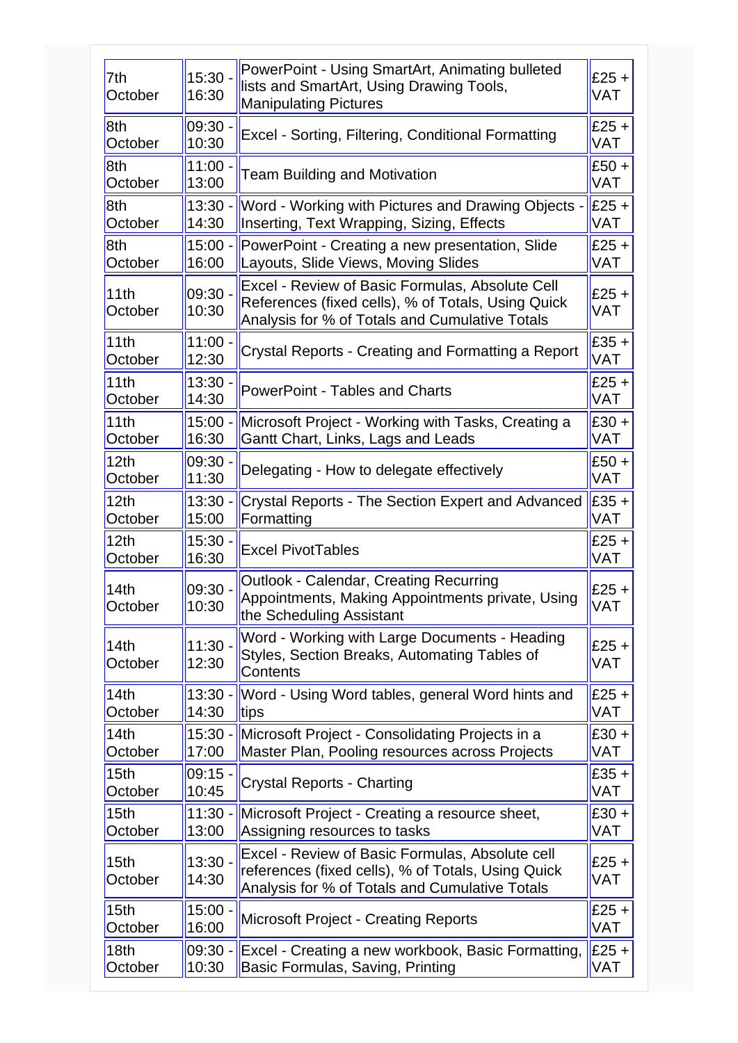| 7th<br>October   | $15:30 -$<br>16:30 | PowerPoint - Using SmartArt, Animating bulleted<br>lists and SmartArt, Using Drawing Tools,<br><b>Manipulating Pictures</b>                             | $E25 +$<br><b>VAT</b> |
|------------------|--------------------|---------------------------------------------------------------------------------------------------------------------------------------------------------|-----------------------|
| 8th              | 09:30              | Excel - Sorting, Filtering, Conditional Formatting                                                                                                      | $£25 +$               |
| October          | 10:30              |                                                                                                                                                         | <b>VAT</b>            |
| 8th              | $11:00 -$          | <b>Team Building and Motivation</b>                                                                                                                     | $£50 +$               |
| October          | 13:00              |                                                                                                                                                         | <b>VAT</b>            |
| 8th              | $13:30 -$          | Word - Working with Pictures and Drawing Objects -                                                                                                      | $E25 +$               |
| October          | 14:30              | Inserting, Text Wrapping, Sizing, Effects                                                                                                               | <b>VAT</b>            |
| 8th              | $15:00 -$          | PowerPoint - Creating a new presentation, Slide                                                                                                         | $E25 +$               |
| October          | 16:00              | Layouts, Slide Views, Moving Slides                                                                                                                     | <b>VAT</b>            |
| 11th<br>October  | 09:30 -<br>10:30   | Excel - Review of Basic Formulas, Absolute Cell<br>References (fixed cells), % of Totals, Using Quick<br>Analysis for % of Totals and Cumulative Totals | $£25 +$<br><b>VAT</b> |
| 11th             | $11:00 -$          | Crystal Reports - Creating and Formatting a Report                                                                                                      | $£35 +$               |
| October          | 12:30              |                                                                                                                                                         | VAT                   |
| 11th             | 13:30              | <b>PowerPoint - Tables and Charts</b>                                                                                                                   | $£25 +$               |
| October          | 14:30              |                                                                                                                                                         | <b>VAT</b>            |
| 11th             | $15:00 -$          | Microsoft Project - Working with Tasks, Creating a                                                                                                      | $£30 +$               |
| October          | 16:30              | Gantt Chart, Links, Lags and Leads                                                                                                                      | <b>VAT</b>            |
| 12th             | $09:30 -$          | Delegating - How to delegate effectively                                                                                                                | $£50 +$               |
| October          | 11:30              |                                                                                                                                                         | VAT                   |
| 12th             | $13:30 -$          | <b>Crystal Reports - The Section Expert and Advanced</b>                                                                                                | $E35 +$               |
| October          | 15:00              | Formatting                                                                                                                                              | <b>VAT</b>            |
| 12 <sub>th</sub> | 15:30              | <b>Excel PivotTables</b>                                                                                                                                | $£25 +$               |
| October          | 16:30              |                                                                                                                                                         | <b>VAT</b>            |
| 14th<br>October  | 09:30 -<br>10:30   | <b>Outlook - Calendar, Creating Recurring</b><br>Appointments, Making Appointments private, Using<br>the Scheduling Assistant                           | $£25 +$<br><b>VAT</b> |
| 14th<br>October  | $11:30 -$<br>12:30 | Word - Working with Large Documents - Heading<br>Styles, Section Breaks, Automating Tables of<br>Contents                                               | $£25 +$<br><b>VAT</b> |
| 14th             | $13:30 -$          | Word - Using Word tables, general Word hints and                                                                                                        | $E25 +$               |
| October          | 14:30              | tips                                                                                                                                                    | <b>VAT</b>            |
| 14th             | $15:30 -$          | Microsoft Project - Consolidating Projects in a                                                                                                         | $£30 +$               |
| October          | 17:00              | Master Plan, Pooling resources across Projects                                                                                                          | <b>VAT</b>            |
| 15th             | 09:15.             | <b>Crystal Reports - Charting</b>                                                                                                                       | $£35 +$               |
| October          | 10:45              |                                                                                                                                                         | <b>VAT</b>            |
| 15th             | $11:30 -$          | Microsoft Project - Creating a resource sheet,                                                                                                          | $£30 +$               |
| October          | 13:00              | Assigning resources to tasks                                                                                                                            | <b>VAT</b>            |
| 15th<br>October  | $13:30 -$<br>14:30 | Excel - Review of Basic Formulas, Absolute cell<br>references (fixed cells), % of Totals, Using Quick<br>Analysis for % of Totals and Cumulative Totals | $£25 +$<br><b>VAT</b> |
| 15th             | $15:00 -$          | <b>Microsoft Project - Creating Reports</b>                                                                                                             | $£25 +$               |
| October          | 16:00              |                                                                                                                                                         | <b>VAT</b>            |
| 18th             | 09:30 -            | Excel - Creating a new workbook, Basic Formatting,                                                                                                      | $E25 +$               |
| October          | 10:30              | Basic Formulas, Saving, Printing                                                                                                                        | <b>VAT</b>            |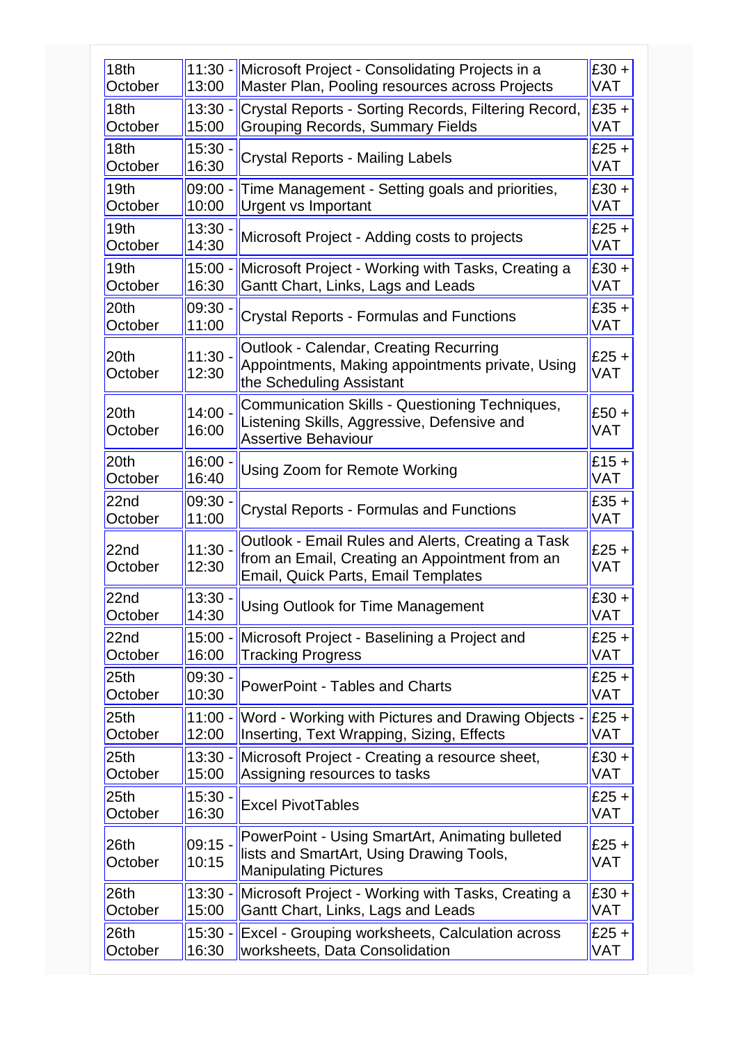| $11:30 -$<br>13:00 | Microsoft Project - Consolidating Projects in a<br>Master Plan, Pooling resources across Projects                                                 | $E30 +$<br><b>VAT</b> |
|--------------------|---------------------------------------------------------------------------------------------------------------------------------------------------|-----------------------|
| $13:30 -$<br>15:00 | Crystal Reports - Sorting Records, Filtering Record,<br><b>Grouping Records, Summary Fields</b>                                                   | $E35 +$<br><b>VAT</b> |
| $15:30 -$<br>16:30 | <b>Crystal Reports - Mailing Labels</b>                                                                                                           | $£25 +$<br>VAT        |
| 09:00 -<br>10:00   | Time Management - Setting goals and priorities,<br><b>Urgent vs Important</b>                                                                     | $E30 +$<br><b>VAT</b> |
| 13:30<br>14:30     | Microsoft Project - Adding costs to projects                                                                                                      | $E25 +$<br>VAT        |
| $15:00 -$<br>16:30 | Microsoft Project - Working with Tasks, Creating a<br>Gantt Chart, Links, Lags and Leads                                                          | $E30 +$<br><b>VAT</b> |
| 09:30 ·<br>11:00   | <b>Crystal Reports - Formulas and Functions</b>                                                                                                   | $E35 +$<br><b>VAT</b> |
| 11:30.<br>12:30    | <b>Outlook - Calendar, Creating Recurring</b><br>Appointments, Making appointments private, Using<br>the Scheduling Assistant                     | $E25 +$<br><b>VAT</b> |
| $14:00 -$<br>16:00 | Communication Skills - Questioning Techniques,<br>Listening Skills, Aggressive, Defensive and<br><b>Assertive Behaviour</b>                       | $E50 +$<br><b>VAT</b> |
| $16:00 -$<br>16:40 | Using Zoom for Remote Working                                                                                                                     | $£15 +$<br><b>VAT</b> |
| 09:30<br>11:00     | <b>Crystal Reports - Formulas and Functions</b>                                                                                                   | $E35 +$<br><b>VAT</b> |
| $11:30 -$<br>12:30 | Outlook - Email Rules and Alerts, Creating a Task<br>from an Email, Creating an Appointment from an<br><b>Email, Quick Parts, Email Templates</b> | $£25 +$<br><b>VAT</b> |
| 13:30.<br>14:30    | <b>Using Outlook for Time Management</b>                                                                                                          | $E30 +$<br><b>VAT</b> |
| $15:00 -$<br>16:00 | Microsoft Project - Baselining a Project and<br><b>Tracking Progress</b>                                                                          | $E25 +$<br>VAT        |
| 09:30 -<br>10:30   | <b>PowerPoint - Tables and Charts</b>                                                                                                             | $E25 +$<br>VAT        |
| $11:00 -$<br>12:00 | Word - Working with Pictures and Drawing Objects -<br>Inserting, Text Wrapping, Sizing, Effects                                                   | $E25 +$<br><b>VAT</b> |
| $13:30 -$<br>15:00 | Microsoft Project - Creating a resource sheet,<br>Assigning resources to tasks                                                                    | $E30 +$<br>VAT        |
| $15:30 -$<br>16:30 | <b>Excel PivotTables</b>                                                                                                                          | $E25 +$<br>VAT        |
| 09:15 -<br>10:15   | PowerPoint - Using SmartArt, Animating bulleted<br>lists and SmartArt, Using Drawing Tools,<br><b>Manipulating Pictures</b>                       | $E25 +$<br><b>VAT</b> |
| $13:30 -$<br>15:00 | Microsoft Project - Working with Tasks, Creating a<br>Gantt Chart, Links, Lags and Leads                                                          | $E30 +$<br>VAT        |
| $15:30 -$<br>16:30 | Excel - Grouping worksheets, Calculation across<br>worksheets, Data Consolidation                                                                 | $E25 +$<br><b>VAT</b> |
|                    |                                                                                                                                                   |                       |